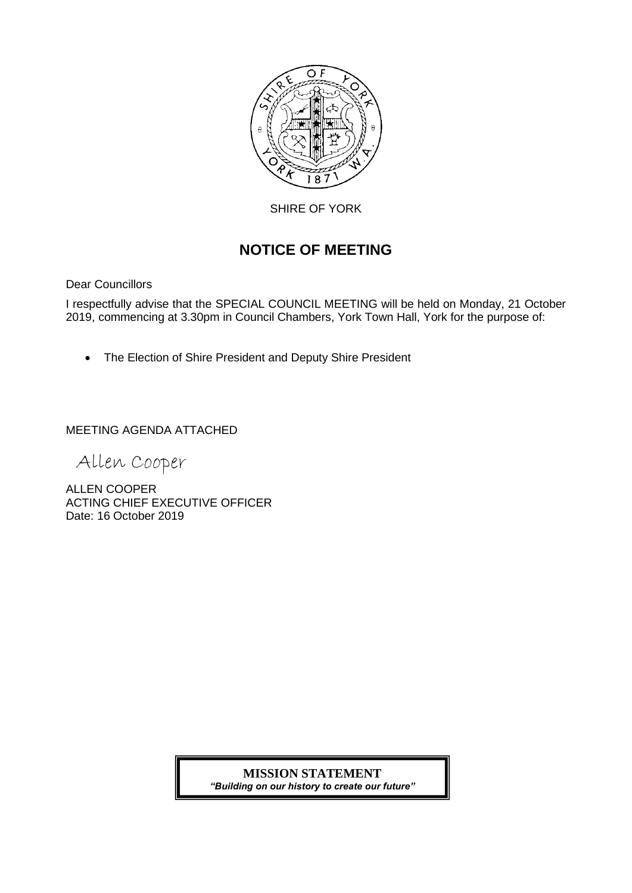

SHIRE OF YORK

# **NOTICE OF MEETING**

Dear Councillors

I respectfully advise that the SPECIAL COUNCIL MEETING will be held on Monday, 21 October 2019, commencing at 3.30pm in Council Chambers, York Town Hall, York for the purpose of:

• The Election of Shire President and Deputy Shire President

MEETING AGENDA ATTACHED

Allen Cooper

ALLEN COOPER ACTING CHIEF EXECUTIVE OFFICER Date: 16 October 2019

## **MISSION STATEMENT**

*"Building on our history to create our future"*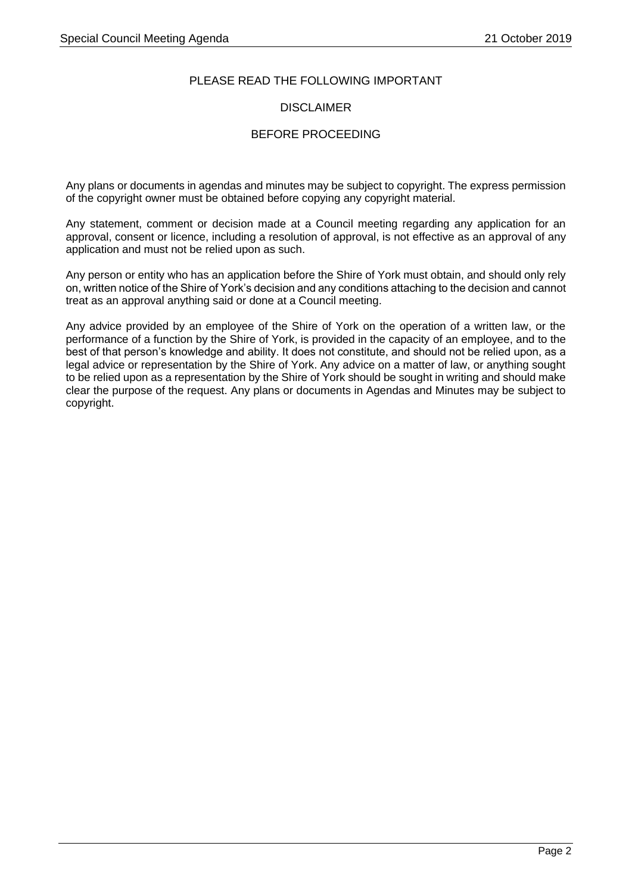### PLEASE READ THE FOLLOWING IMPORTANT

### **DISCLAIMER**

### BEFORE PROCEEDING

Any plans or documents in agendas and minutes may be subject to copyright. The express permission of the copyright owner must be obtained before copying any copyright material.

Any statement, comment or decision made at a Council meeting regarding any application for an approval, consent or licence, including a resolution of approval, is not effective as an approval of any application and must not be relied upon as such.

Any person or entity who has an application before the Shire of York must obtain, and should only rely on, written notice of the Shire of York's decision and any conditions attaching to the decision and cannot treat as an approval anything said or done at a Council meeting.

Any advice provided by an employee of the Shire of York on the operation of a written law, or the performance of a function by the Shire of York, is provided in the capacity of an employee, and to the best of that person's knowledge and ability. It does not constitute, and should not be relied upon, as a legal advice or representation by the Shire of York. Any advice on a matter of law, or anything sought to be relied upon as a representation by the Shire of York should be sought in writing and should make clear the purpose of the request. Any plans or documents in Agendas and Minutes may be subject to copyright.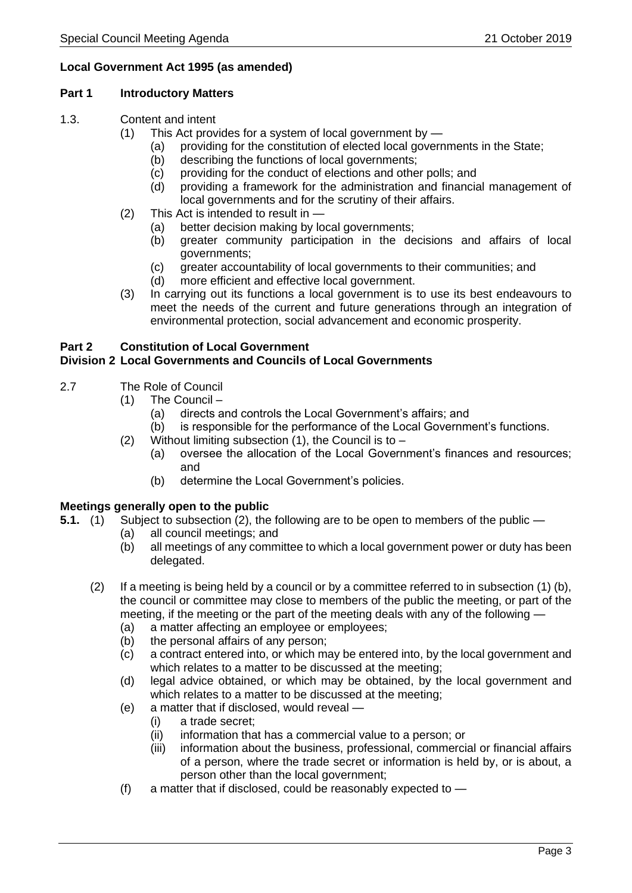### **Local Government Act 1995 (as amended)**

#### **Part 1 Introductory Matters**

- 1.3. Content and intent
	- (1) This Act provides for a system of local government by
		- (a) providing for the constitution of elected local governments in the State;
		- (b) describing the functions of local governments;
		- (c) providing for the conduct of elections and other polls; and
		- (d) providing a framework for the administration and financial management of local governments and for the scrutiny of their affairs.
	- (2) This Act is intended to result in
		- (a) better decision making by local governments;
		- (b) greater community participation in the decisions and affairs of local governments;
		- (c) greater accountability of local governments to their communities; and
		- (d) more efficient and effective local government.
	- (3) In carrying out its functions a local government is to use its best endeavours to meet the needs of the current and future generations through an integration of environmental protection, social advancement and economic prosperity.

## **Part 2 Constitution of Local Government**

### **Division 2 Local Governments and Councils of Local Governments**

- 2.7 The Role of Council
	- (1) The Council
		- (a) directs and controls the Local Government's affairs; and
		- (b) is responsible for the performance of the Local Government's functions.
	- (2) Without limiting subsection  $(1)$ , the Council is to
		- (a) oversee the allocation of the Local Government's finances and resources; and
		- (b) determine the Local Government's policies.

### **Meetings generally open to the public**

- **5.1.** (1) Subject to subsection (2), the following are to be open to members of the public
	- (a) all council meetings; and
	- (b) all meetings of any committee to which a local government power or duty has been delegated.
	- (2) If a meeting is being held by a council or by a committee referred to in subsection (1) (b), the council or committee may close to members of the public the meeting, or part of the meeting, if the meeting or the part of the meeting deals with any of the following —
		- (a) a matter affecting an employee or employees;
		- (b) the personal affairs of any person;
		- (c) a contract entered into, or which may be entered into, by the local government and which relates to a matter to be discussed at the meeting;
		- (d) legal advice obtained, or which may be obtained, by the local government and which relates to a matter to be discussed at the meeting;
		- (e) a matter that if disclosed, would reveal
			- (i) a trade secret;
			- (ii) information that has a commercial value to a person; or
			- (iii) information about the business, professional, commercial or financial affairs of a person, where the trade secret or information is held by, or is about, a person other than the local government;
		- (f) a matter that if disclosed, could be reasonably expected to —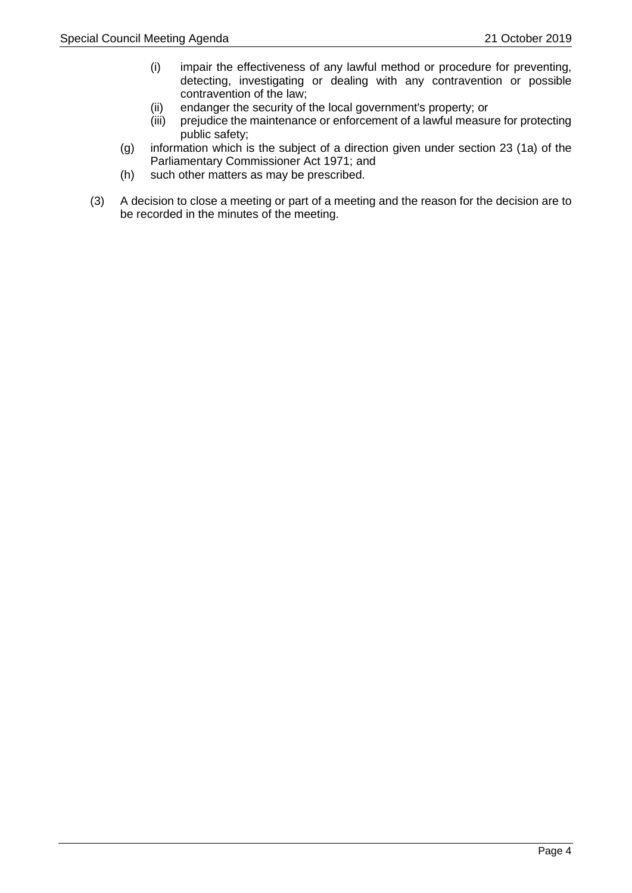- (i) impair the effectiveness of any lawful method or procedure for preventing, detecting, investigating or dealing with any contravention or possible contravention of the law;
- (ii) endanger the security of the local government's property; or
- (iii) prejudice the maintenance or enforcement of a lawful measure for protecting public safety;
- (g) information which is the subject of a direction given under section 23 (1a) of the Parliamentary Commissioner Act 1971; and
- (h) such other matters as may be prescribed.
- (3) A decision to close a meeting or part of a meeting and the reason for the decision are to be recorded in the minutes of the meeting.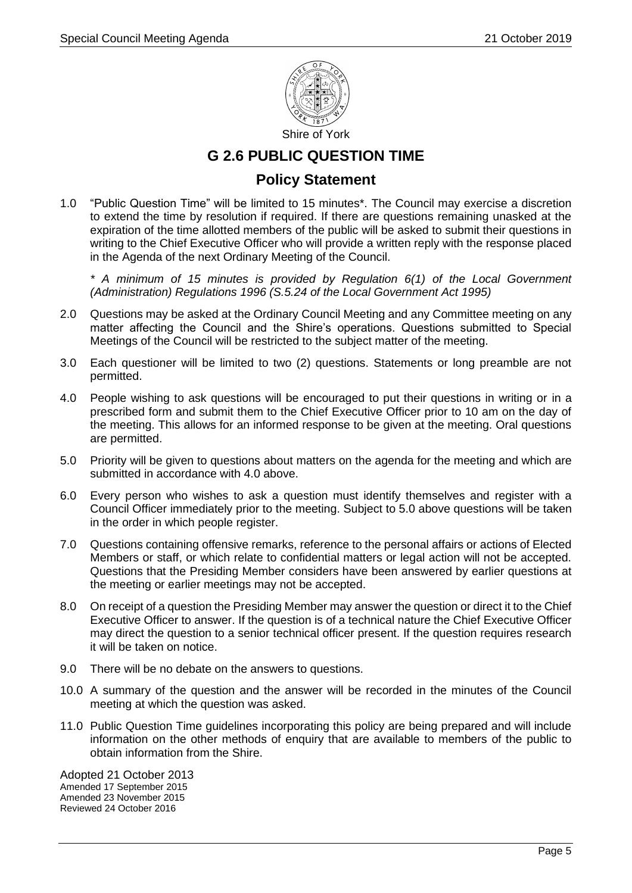

## **G 2.6 PUBLIC QUESTION TIME**

### **Policy Statement**

1.0 "Public Question Time" will be limited to 15 minutes\*. The Council may exercise a discretion to extend the time by resolution if required. If there are questions remaining unasked at the expiration of the time allotted members of the public will be asked to submit their questions in writing to the Chief Executive Officer who will provide a written reply with the response placed in the Agenda of the next Ordinary Meeting of the Council.

*\* A minimum of 15 minutes is provided by Regulation 6(1) of the Local Government (Administration) Regulations 1996 (S.5.24 of the Local Government Act 1995)*

- 2.0 Questions may be asked at the Ordinary Council Meeting and any Committee meeting on any matter affecting the Council and the Shire's operations. Questions submitted to Special Meetings of the Council will be restricted to the subject matter of the meeting.
- 3.0 Each questioner will be limited to two (2) questions. Statements or long preamble are not permitted.
- 4.0 People wishing to ask questions will be encouraged to put their questions in writing or in a prescribed form and submit them to the Chief Executive Officer prior to 10 am on the day of the meeting. This allows for an informed response to be given at the meeting. Oral questions are permitted.
- 5.0 Priority will be given to questions about matters on the agenda for the meeting and which are submitted in accordance with 4.0 above.
- 6.0 Every person who wishes to ask a question must identify themselves and register with a Council Officer immediately prior to the meeting. Subject to 5.0 above questions will be taken in the order in which people register.
- 7.0 Questions containing offensive remarks, reference to the personal affairs or actions of Elected Members or staff, or which relate to confidential matters or legal action will not be accepted. Questions that the Presiding Member considers have been answered by earlier questions at the meeting or earlier meetings may not be accepted.
- 8.0 On receipt of a question the Presiding Member may answer the question or direct it to the Chief Executive Officer to answer. If the question is of a technical nature the Chief Executive Officer may direct the question to a senior technical officer present. If the question requires research it will be taken on notice.
- 9.0 There will be no debate on the answers to questions.
- 10.0 A summary of the question and the answer will be recorded in the minutes of the Council meeting at which the question was asked.
- 11.0 Public Question Time guidelines incorporating this policy are being prepared and will include information on the other methods of enquiry that are available to members of the public to obtain information from the Shire.

Adopted 21 October 2013 Amended 17 September 2015 Amended 23 November 2015 Reviewed 24 October 2016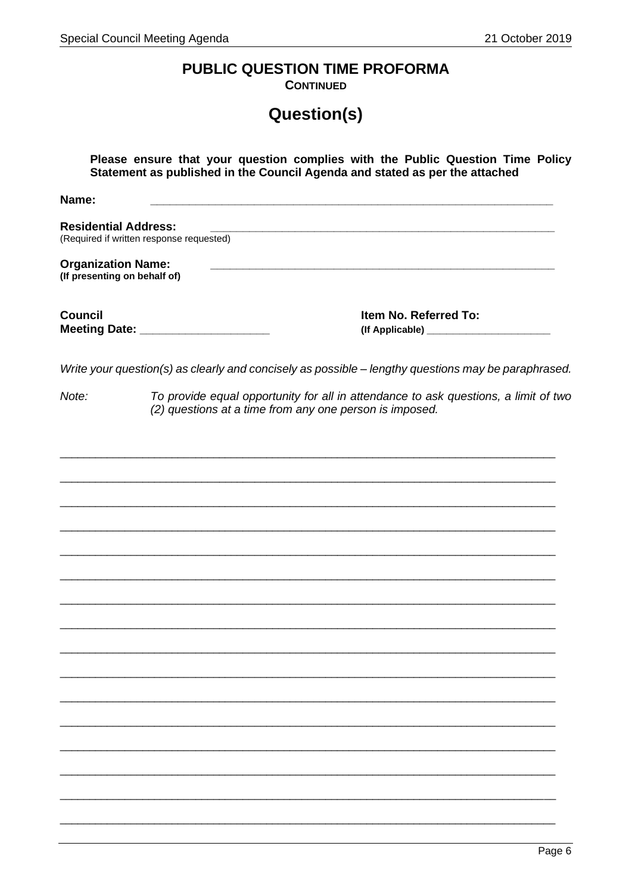# PUBLIC QUESTION TIME PROFORMA

**CONTINUED** 

# Question(s)

| Please ensure that your question complies with the Public Question Time Policy<br>Statement as published in the Council Agenda and stated as per the attached |                                                                                                     |  |
|---------------------------------------------------------------------------------------------------------------------------------------------------------------|-----------------------------------------------------------------------------------------------------|--|
| Name:                                                                                                                                                         |                                                                                                     |  |
| <b>Residential Address:</b>                                                                                                                                   | (Required if written response requested)                                                            |  |
| <b>Organization Name:</b><br>(If presenting on behalf of)                                                                                                     |                                                                                                     |  |
| <b>Council</b>                                                                                                                                                | Item No. Referred To:<br>Meeting Date: ______________________                                       |  |
|                                                                                                                                                               | Write your question(s) as clearly and concisely as possible - lengthy questions may be paraphrased. |  |
| To provide equal opportunity for all in attendance to ask questions, a limit of two<br>Note:<br>(2) questions at a time from any one person is imposed.       |                                                                                                     |  |
|                                                                                                                                                               |                                                                                                     |  |
|                                                                                                                                                               |                                                                                                     |  |
|                                                                                                                                                               |                                                                                                     |  |
|                                                                                                                                                               |                                                                                                     |  |
|                                                                                                                                                               |                                                                                                     |  |
|                                                                                                                                                               |                                                                                                     |  |
|                                                                                                                                                               |                                                                                                     |  |
|                                                                                                                                                               |                                                                                                     |  |
|                                                                                                                                                               |                                                                                                     |  |
|                                                                                                                                                               |                                                                                                     |  |
|                                                                                                                                                               |                                                                                                     |  |
|                                                                                                                                                               |                                                                                                     |  |
|                                                                                                                                                               |                                                                                                     |  |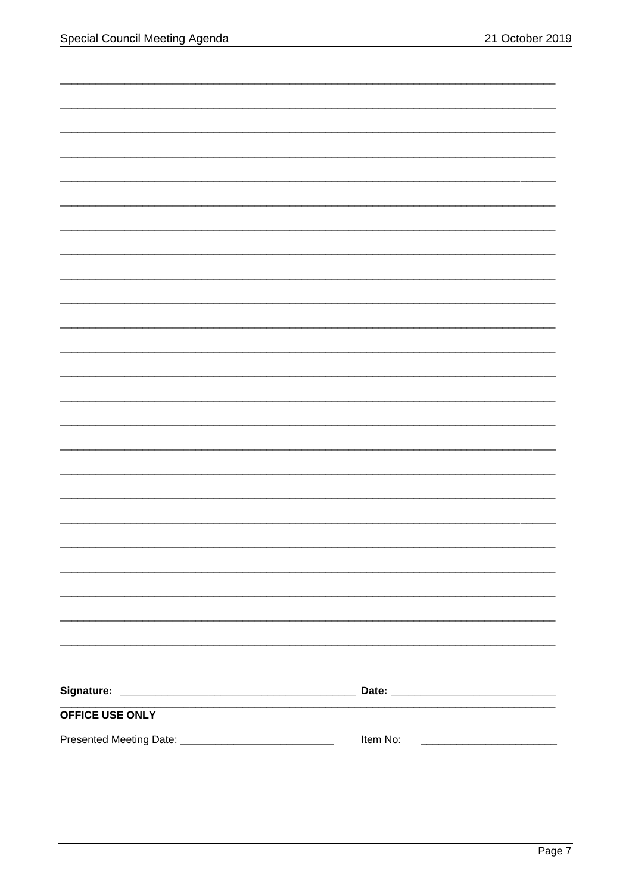| OFFICE USE ONLY |          |
|-----------------|----------|
|                 | Item No: |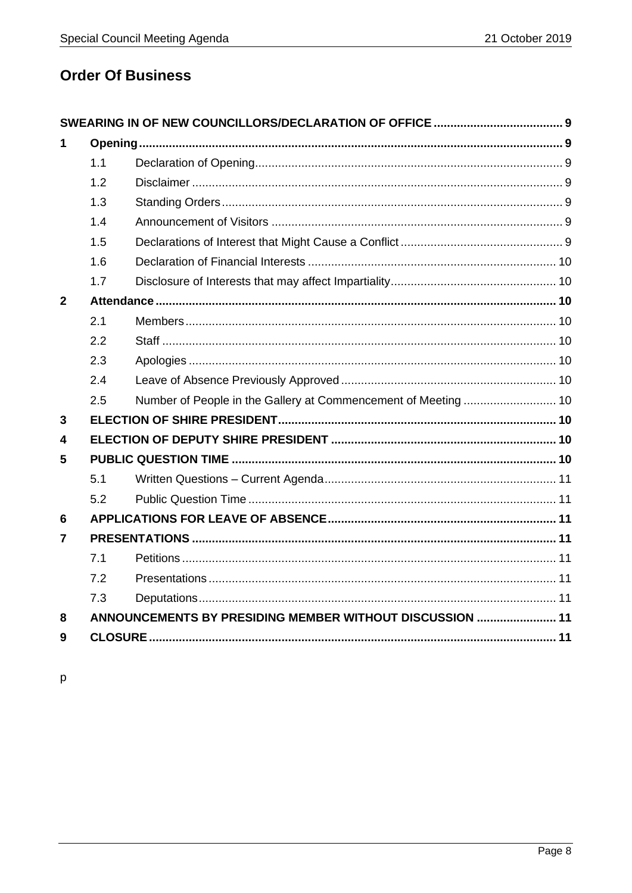# **Order Of Business**

| 1              |     |                                                          |  |
|----------------|-----|----------------------------------------------------------|--|
|                | 1.1 |                                                          |  |
|                | 1.2 |                                                          |  |
|                | 1.3 |                                                          |  |
|                | 1.4 |                                                          |  |
|                | 1.5 |                                                          |  |
|                | 1.6 |                                                          |  |
|                | 1.7 |                                                          |  |
| $\overline{2}$ |     |                                                          |  |
|                | 2.1 |                                                          |  |
|                | 2.2 |                                                          |  |
|                | 2.3 |                                                          |  |
|                | 2.4 |                                                          |  |
|                | 2.5 |                                                          |  |
| 3              |     |                                                          |  |
| 4              |     |                                                          |  |
| 5              |     |                                                          |  |
|                | 5.1 |                                                          |  |
|                | 5.2 |                                                          |  |
| $6\phantom{1}$ |     |                                                          |  |
| 7              |     |                                                          |  |
|                | 7.1 |                                                          |  |
|                | 7.2 |                                                          |  |
|                | 7.3 |                                                          |  |
| 8              |     | ANNOUNCEMENTS BY PRESIDING MEMBER WITHOUT DISCUSSION  11 |  |
| 9              |     |                                                          |  |

 $\mathsf{p}$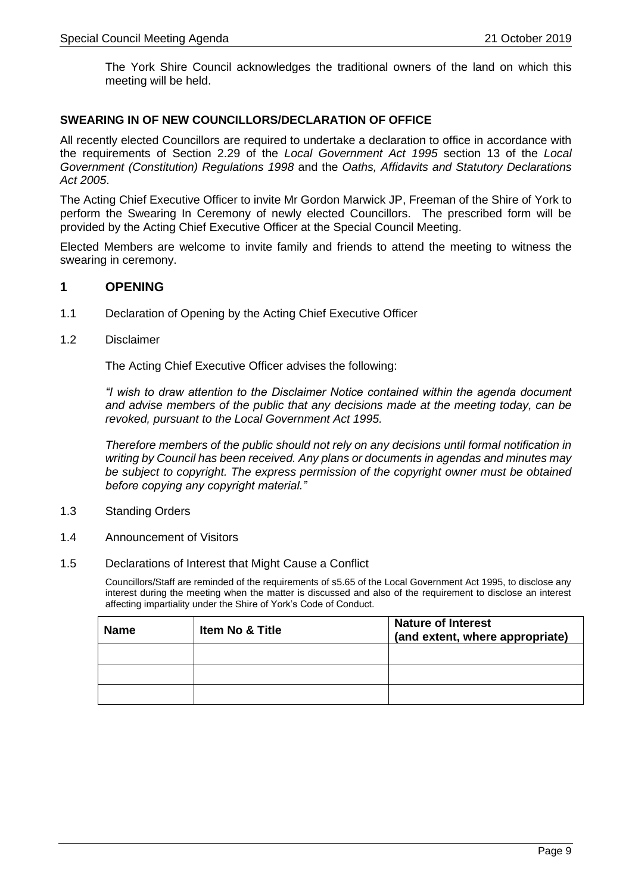The York Shire Council acknowledges the traditional owners of the land on which this meeting will be held.

### **SWEARING IN OF NEW COUNCILLORS/DECLARATION OF OFFICE**

All recently elected Councillors are required to undertake a declaration to office in accordance with the requirements of Section 2.29 of the *Local Government Act 1995* section 13 of the *Local Government (Constitution) Regulations 1998* and the *Oaths, Affidavits and Statutory Declarations Act 2005*.

The Acting Chief Executive Officer to invite Mr Gordon Marwick JP, Freeman of the Shire of York to perform the Swearing In Ceremony of newly elected Councillors. The prescribed form will be provided by the Acting Chief Executive Officer at the Special Council Meeting.

Elected Members are welcome to invite family and friends to attend the meeting to witness the swearing in ceremony.

### <span id="page-8-0"></span>**1 OPENING**

- <span id="page-8-1"></span>1.1 Declaration of Opening by the Acting Chief Executive Officer
- <span id="page-8-2"></span>1.2 Disclaimer

The Acting Chief Executive Officer advises the following:

*"I wish to draw attention to the Disclaimer Notice contained within the agenda document and advise members of the public that any decisions made at the meeting today, can be revoked, pursuant to the Local Government Act 1995.*

*Therefore members of the public should not rely on any decisions until formal notification in writing by Council has been received. Any plans or documents in agendas and minutes may be subject to copyright. The express permission of the copyright owner must be obtained before copying any copyright material."*

- <span id="page-8-3"></span>1.3 Standing Orders
- <span id="page-8-4"></span>1.4 Announcement of Visitors
- <span id="page-8-5"></span>1.5 Declarations of Interest that Might Cause a Conflict

Councillors/Staff are reminded of the requirements of s5.65 of the Local Government Act 1995, to disclose any interest during the meeting when the matter is discussed and also of the requirement to disclose an interest affecting impartiality under the Shire of York's Code of Conduct.

| <b>Name</b> | <b>Item No &amp; Title</b> | <b>Nature of Interest</b><br>(and extent, where appropriate) |
|-------------|----------------------------|--------------------------------------------------------------|
|             |                            |                                                              |
|             |                            |                                                              |
|             |                            |                                                              |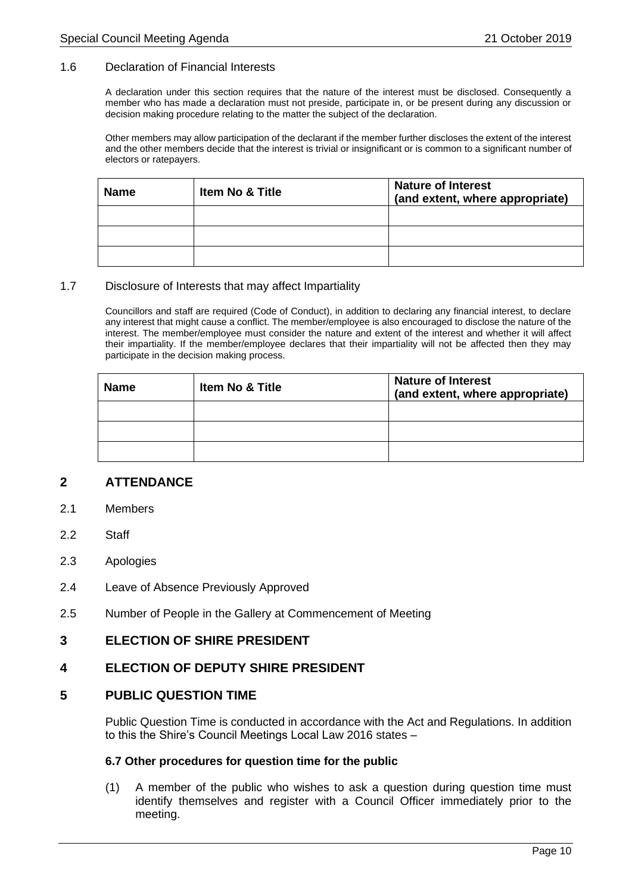#### <span id="page-9-0"></span>1.6 Declaration of Financial Interests

A declaration under this section requires that the nature of the interest must be disclosed. Consequently a member who has made a declaration must not preside, participate in, or be present during any discussion or decision making procedure relating to the matter the subject of the declaration.

Other members may allow participation of the declarant if the member further discloses the extent of the interest and the other members decide that the interest is trivial or insignificant or is common to a significant number of electors or ratepayers.

| <b>Name</b> | Item No & Title | <b>Nature of Interest</b><br>(and extent, where appropriate) |
|-------------|-----------------|--------------------------------------------------------------|
|             |                 |                                                              |
|             |                 |                                                              |
|             |                 |                                                              |

#### <span id="page-9-1"></span>1.7 Disclosure of Interests that may affect Impartiality

Councillors and staff are required (Code of Conduct), in addition to declaring any financial interest, to declare any interest that might cause a conflict. The member/employee is also encouraged to disclose the nature of the interest. The member/employee must consider the nature and extent of the interest and whether it will affect their impartiality. If the member/employee declares that their impartiality will not be affected then they may participate in the decision making process.

| <b>Name</b> | <b>Item No &amp; Title</b> | <b>Nature of Interest</b><br>(and extent, where appropriate) |
|-------------|----------------------------|--------------------------------------------------------------|
|             |                            |                                                              |
|             |                            |                                                              |
|             |                            |                                                              |

### <span id="page-9-2"></span>**2 ATTENDANCE**

- <span id="page-9-3"></span>2.1 Members
- <span id="page-9-4"></span>2.2 Staff
- <span id="page-9-5"></span>2.3 Apologies
- <span id="page-9-6"></span>2.4 Leave of Absence Previously Approved
- <span id="page-9-7"></span>2.5 Number of People in the Gallery at Commencement of Meeting

### <span id="page-9-8"></span>**3 ELECTION OF SHIRE PRESIDENT**

### <span id="page-9-9"></span>**4 ELECTION OF DEPUTY SHIRE PRESIDENT**

#### <span id="page-9-10"></span>**5 PUBLIC QUESTION TIME**

Public Question Time is conducted in accordance with the Act and Regulations. In addition to this the Shire's Council Meetings Local Law 2016 states –

#### **6.7 Other procedures for question time for the public**

(1) A member of the public who wishes to ask a question during question time must identify themselves and register with a Council Officer immediately prior to the meeting.